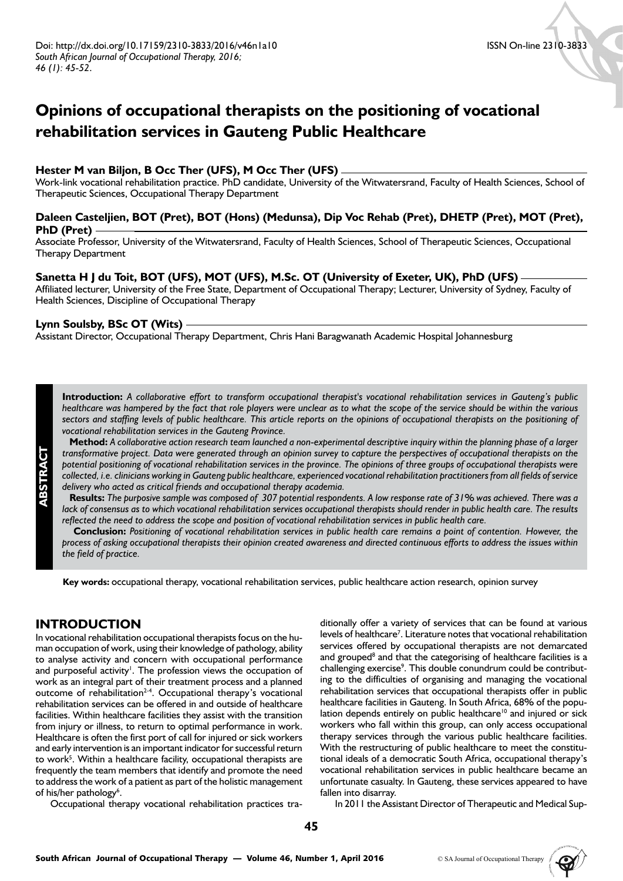# **Opinions of occupational therapists on the positioning of vocational rehabilitation services in Gauteng Public Healthcare**

## **Hester M van Biljon, B Occ Ther (UFS), M Occ Ther (UFS)**

Work-link vocational rehabilitation practice. PhD candidate, University of the Witwatersrand, Faculty of Health Sciences, School of Therapeutic Sciences, Occupational Therapy Department

## **Daleen Casteljien, BOT (Pret), BOT (Hons) (Medunsa), Dip Voc Rehab (Pret), DHETP (Pret), MOT (Pret), PhD (Pret)**

Associate Professor, University of the Witwatersrand, Faculty of Health Sciences, School of Therapeutic Sciences, Occupational Therapy Department

#### **Sanetta H J du Toit, BOT (UFS), MOT (UFS), M.Sc. OT (University of Exeter, UK), PhD (UFS)**

Affiliated lecturer, University of the Free State, Department of Occupational Therapy; Lecturer, University of Sydney, Faculty of Health Sciences, Discipline of Occupational Therapy

#### **Lynn Soulsby, BSc OT (Wits)**

Assistant Director, Occupational Therapy Department, Chris Hani Baragwanath Academic Hospital Johannesburg

**Introduction:** *A collaborative effort to transform occupational therapist's vocational rehabilitation services in Gauteng's public healthcare was hampered by the fact that role players were unclear as to what the scope of the service should be within the various*  sectors and staffing levels of public healthcare. This article reports on the opinions of occupational therapists on the positioning of *vocational rehabilitation services in the Gauteng Province.*

 **Method:** *A collaborative action research team launched a non-experimental descriptive inquiry within the planning phase of a larger transformative project. Data were generated through an opinion survey to capture the perspectives of occupational therapists on the potential positioning of vocational rehabilitation services in the province. The opinions of three groups of occupational therapists were collected, i.e. clinicians working in Gauteng public healthcare, experienced vocational rehabilitation practitioners from all fields of service delivery who acted as critical friends and occupational therapy academia.* 

 **Results:** *The purposive sample was composed of 307 potential respondents. A low response rate of 31% was achieved. There was a lack of consensus as to which vocational rehabilitation services occupational therapists should render in public health care. The results*  reflected the need to address the scope and position of vocational rehabilitation services in public health care.

 **Conclusion:** *Positioning of vocational rehabilitation services in public health care remains a point of contention. However, the process of asking occupational therapists their opinion created awareness and directed continuous efforts to address the issues within the field of practice.*

**Key words:** occupational therapy, vocational rehabilitation services, public healthcare action research, opinion survey

# **INTRODUCTION**

**ABSTRACT**

In vocational rehabilitation occupational therapists focus on the human occupation of work, using their knowledge of pathology, ability to analyse activity and concern with occupational performance and purposeful activity<sup>1</sup>. The profession views the occupation of work as an integral part of their treatment process and a planned outcome of rehabilitation<sup>2-4</sup>. Occupational therapy's vocational rehabilitation services can be offered in and outside of healthcare facilities. Within healthcare facilities they assist with the transition from injury or illness, to return to optimal performance in work. Healthcare is often the first port of call for injured or sick workers and early intervention is an important indicator for successful return to work<sup>5</sup>. Within a healthcare facility, occupational therapists are frequently the team members that identify and promote the need to address the work of a patient as part of the holistic management of his/her pathology<sup>6</sup>.

Occupational therapy vocational rehabilitation practices tra-

ditionally offer a variety of services that can be found at various levels of healthcare<sup>7</sup>. Literature notes that vocational rehabilitation services offered by occupational therapists are not demarcated and grouped<sup>8</sup> and that the categorising of healthcare facilities is a challenging exercise<sup>9</sup>. This double conundrum could be contributing to the difficulties of organising and managing the vocational rehabilitation services that occupational therapists offer in public healthcare facilities in Gauteng. In South Africa, 68% of the population depends entirely on public healthcare<sup>10</sup> and injured or sick workers who fall within this group, can only access occupational therapy services through the various public healthcare facilities. With the restructuring of public healthcare to meet the constitutional ideals of a democratic South Africa, occupational therapy's vocational rehabilitation services in public healthcare became an unfortunate casualty. In Gauteng, these services appeared to have fallen into disarray.

In 2011 the Assistant Director of Therapeutic and Medical Sup-

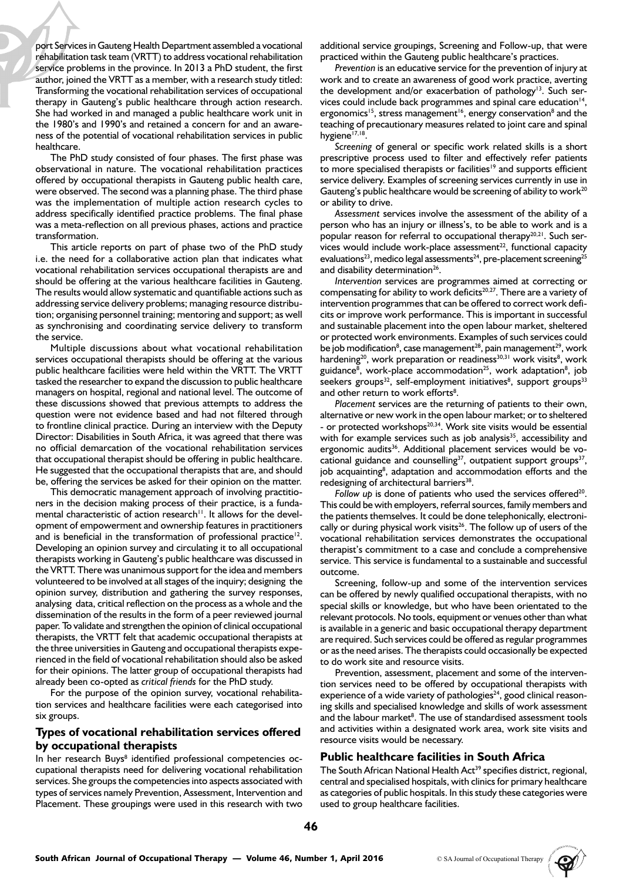port Services in Gauteng Health Department assembled a vocational rehabilitation task team (VRTT) to address vocational rehabilitation service problems in the province. In 2013 a PhD student, the first author, joined the VRTT as a member, with a research study titled: Transforming the vocational rehabilitation services of occupational therapy in Gauteng's public healthcare through action research. She had worked in and managed a public healthcare work unit in the 1980's and 1990's and retained a concern for and an awareness of the potential of vocational rehabilitation services in public healthcare.

The PhD study consisted of four phases. The first phase was observational in nature. The vocational rehabilitation practices offered by occupational therapists in Gauteng public health care, were observed. The second was a planning phase. The third phase was the implementation of multiple action research cycles to address specifically identified practice problems. The final phase was a meta-reflection on all previous phases, actions and practice transformation.

This article reports on part of phase two of the PhD study i.e. the need for a collaborative action plan that indicates what vocational rehabilitation services occupational therapists are and should be offering at the various healthcare facilities in Gauteng. The results would allow systematic and quantifiable actions such as addressing service delivery problems; managing resource distribution; organising personnel training; mentoring and support; as well as synchronising and coordinating service delivery to transform the service.

Multiple discussions about what vocational rehabilitation services occupational therapists should be offering at the various public healthcare facilities were held within the VRTT. The VRTT tasked the researcher to expand the discussion to public healthcare managers on hospital, regional and national level. The outcome of these discussions showed that previous attempts to address the question were not evidence based and had not filtered through to frontline clinical practice. During an interview with the Deputy Director: Disabilities in South Africa, it was agreed that there was no official demarcation of the vocational rehabilitation services that occupational therapist should be offering in public healthcare. He suggested that the occupational therapists that are, and should be, offering the services be asked for their opinion on the matter.

This democratic management approach of involving practitioners in the decision making process of their practice, is a fundamental characteristic of action research<sup>11</sup>. It allows for the development of empowerment and ownership features in practitioners and is beneficial in the transformation of professional practice<sup>12</sup>. Developing an opinion survey and circulating it to all occupational therapists working in Gauteng's public healthcare was discussed in the VRTT. There was unanimous support for the idea and members volunteered to be involved at all stages of the inquiry; designing the opinion survey, distribution and gathering the survey responses, analysing data, critical reflection on the process as a whole and the dissemination of the results in the form of a peer reviewed journal paper. To validate and strengthen the opinion of clinical occupational therapists, the VRTT felt that academic occupational therapists at the three universities in Gauteng and occupational therapists experienced in the field of vocational rehabilitation should also be asked for their opinions. The latter group of occupational therapists had already been co-opted as *critical friends* for the PhD study.

For the purpose of the opinion survey, vocational rehabilitation services and healthcare facilities were each categorised into six groups.

#### **Types of vocational rehabilitation services offered by occupational therapists**

In her research Buys<sup>8</sup> identified professional competencies occupational therapists need for delivering vocational rehabilitation services. She groups the competencies into aspects associated with types of services namely Prevention, Assessment, Intervention and Placement. These groupings were used in this research with two

additional service groupings, Screening and Follow-up, that were practiced within the Gauteng public healthcare's practices.

*Prevention* is an educative service for the prevention of injury at work and to create an awareness of good work practice, averting the development and/or exacerbation of pathology<sup>13</sup>. Such services could include back programmes and spinal care education<sup>14</sup>, ergonomics<sup>15</sup>, stress management<sup>16</sup>, energy conservation<sup>8</sup> and the teaching of precautionary measures related to joint care and spinal hygiene<sup>17,18</sup>.

*Screening* of general or specific work related skills is a short prescriptive process used to filter and effectively refer patients to more specialised therapists or facilities<sup>19</sup> and supports efficient service delivery. Examples of screening services currently in use in Gauteng's public healthcare would be screening of ability to work<sup>20</sup> or ability to drive.

*Assessment* services involve the assessment of the ability of a person who has an injury or illness's, to be able to work and is a popular reason for referral to occupational therapy<sup>20,21</sup>. Such services would include work-place assessment $2^2$ , functional capacity evaluations<sup>23</sup>, medico legal assessments<sup>24</sup>, pre-placement screening<sup>25</sup> and disability determination<sup>26</sup>.

*Intervention* services are programmes aimed at correcting or compensating for ability to work deficits<sup>20,27</sup>. There are a variety of intervention programmes that can be offered to correct work deficits or improve work performance. This is important in successful and sustainable placement into the open labour market, sheltered or protected work environments. Examples of such services could be job modification<sup>8</sup>, case management<sup>28</sup>, pain management<sup>29</sup>, work hardening<sup>20</sup>, work preparation or readiness<sup>30,31</sup> work visits<sup>8</sup>, work guidance<sup>8</sup>, work-place accommodation<sup>25</sup>, work adaptation<sup>8</sup>, job seekers groups<sup>32</sup>, self-employment initiatives<sup>8</sup>, support groups<sup>33</sup> and other return to work efforts<sup>8</sup>.

*Placement* services are the returning of patients to their own, alternative or new work in the open labour market; or to sheltered - or protected workshops<sup>20,34</sup>. Work site visits would be essential with for example services such as job analysis<sup>35</sup>, accessibility and ergonomic audits<sup>36</sup>. Additional placement services would be vocational guidance and counselling $37$ , outpatient support groups $37$ , job acquainting<sup>8</sup>, adaptation and accommodation efforts and the redesigning of architectural barriers<sup>38</sup>.

*Follow up* is done of patients who used the services offered<sup>20</sup>. This could be with employers, referral sources, family members and the patients themselves. It could be done telephonically, electronically or during physical work visits<sup>26</sup>. The follow up of users of the vocational rehabilitation services demonstrates the occupational therapist's commitment to a case and conclude a comprehensive service. This service is fundamental to a sustainable and successful outcome.

Screening, follow-up and some of the intervention services can be offered by newly qualified occupational therapists, with no special skills or knowledge, but who have been orientated to the relevant protocols. No tools, equipment or venues other than what is available in a generic and basic occupational therapy department are required. Such services could be offered as regular programmes or as the need arises. The therapists could occasionally be expected to do work site and resource visits.

Prevention, assessment, placement and some of the intervention services need to be offered by occupational therapists with experience of a wide variety of pathologies<sup>24</sup>, good clinical reasoning skills and specialised knowledge and skills of work assessment and the labour market<sup>8</sup>. The use of standardised assessment tools and activities within a designated work area, work site visits and resource visits would be necessary.

## **Public healthcare facilities in South Africa**

The South African National Health Act<sup>39</sup> specifies district, regional, central and specialised hospitals, with clinics for primary healthcare as categories of public hospitals. In this study these categories were used to group healthcare facilities.

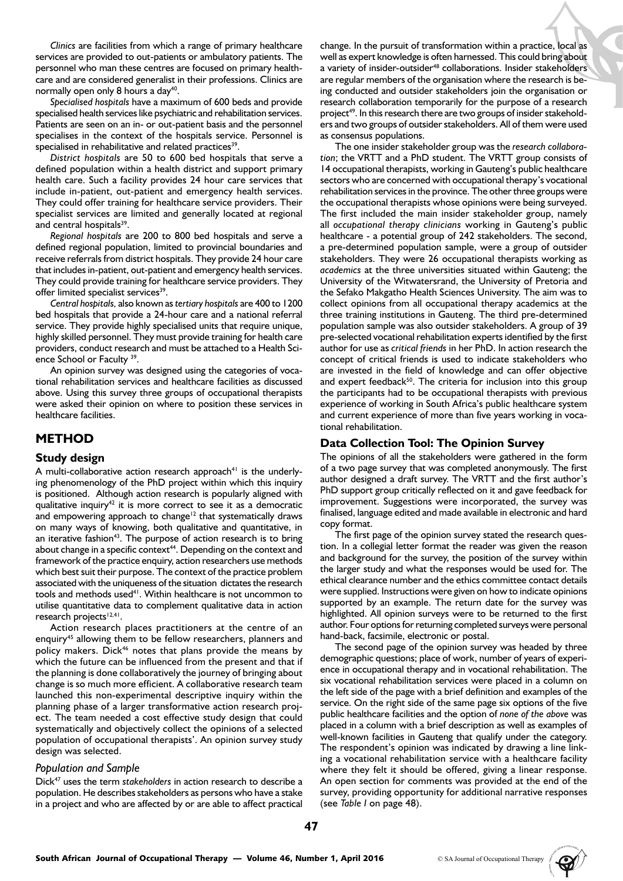*Clinics* are facilities from which a range of primary healthcare services are provided to out-patients or ambulatory patients. The personnel who man these centres are focused on primary healthcare and are considered generalist in their professions. Clinics are normally open only 8 hours a day<sup>40</sup>.

*Specialised hospitals* have a maximum of 600 beds and provide specialised health services like psychiatric and rehabilitation services. Patients are seen on an in- or out-patient basis and the personnel specialises in the context of the hospitals service. Personnel is specialised in rehabilitative and related practices<sup>39</sup>.

*District hospitals* are 50 to 600 bed hospitals that serve a defined population within a health district and support primary health care. Such a facility provides 24 hour care services that include in-patient, out-patient and emergency health services. They could offer training for healthcare service providers. Their specialist services are limited and generally located at regional and central hospitals<sup>39</sup>.

*Regional hospitals* are 200 to 800 bed hospitals and serve a defined regional population, limited to provincial boundaries and receive referrals from district hospitals. They provide 24 hour care that includes in-patient, out-patient and emergency health services. They could provide training for healthcare service providers. They offer limited specialist services<sup>39</sup>.

*Central hospitals,* also known as *tertiary hospitals* are 400 to 1200 bed hospitals that provide a 24-hour care and a national referral service. They provide highly specialised units that require unique, highly skilled personnel. They must provide training for health care providers, conduct research and must be attached to a Health Science School or Faculty<sup>39</sup>.

An opinion survey was designed using the categories of vocational rehabilitation services and healthcare facilities as discussed above. Using this survey three groups of occupational therapists were asked their opinion on where to position these services in healthcare facilities.

## **METHOD**

## **Study design**

A multi-collaborative action research approach<sup>41</sup> is the underlying phenomenology of the PhD project within which this inquiry is positioned. Although action research is popularly aligned with qualitative inquiry $42$  it is more correct to see it as a democratic and empowering approach to change<sup>12</sup> that systematically draws on many ways of knowing, both qualitative and quantitative, in an iterative fashion<sup>43</sup>. The purpose of action research is to bring about change in a specific context $44$ . Depending on the context and framework of the practice enquiry, action researchers use methods which best suit their purpose. The context of the practice problem associated with the uniqueness of the situation dictates the research tools and methods used<sup>41</sup>. Within healthcare is not uncommon to utilise quantitative data to complement qualitative data in action research projects<sup>12,41</sup>.

Action research places practitioners at the centre of an enquiry<sup>45</sup> allowing them to be fellow researchers, planners and policy makers. Dick46 notes that plans provide the means by which the future can be influenced from the present and that if the planning is done collaboratively the journey of bringing about change is so much more efficient. A collaborative research team launched this non-experimental descriptive inquiry within the planning phase of a larger transformative action research project. The team needed a cost effective study design that could systematically and objectively collect the opinions of a selected population of occupational therapists'. An opinion survey study design was selected.

#### *Population and Sample*

Dick47 uses the term *stakeholders* in action research to describe a population. He describes stakeholders as persons who have a stake in a project and who are affected by or are able to affect practical

change. In the pursuit of transformation within a practice, local as well as expert knowledge is often harnessed. This could bring about a variety of insider-outsider<sup>48</sup> collaborations. Insider stakeholders are regular members of the organisation where the research is being conducted and outsider stakeholders join the organisation or research collaboration temporarily for the purpose of a research project<sup>49</sup>. In this research there are two groups of insider stakeholders and two groups of outsider stakeholders. All of them were used as consensus populations.

The one insider stakeholder group was the *research collaboration*; the VRTT and a PhD student. The VRTT group consists of 14 occupational therapists, working in Gauteng's public healthcare sectors who are concerned with occupational therapy's vocational rehabilitation services in the province. The other three groups were the occupational therapists whose opinions were being surveyed. The first included the main insider stakeholder group, namely all *occupational therapy clinicians* working in Gauteng's public healthcare - a potential group of 242 stakeholders. The second, a pre-determined population sample, were a group of outsider stakeholders. They were 26 occupational therapists working as *academics* at the three universities situated within Gauteng; the University of the Witwatersrand, the University of Pretoria and the Sefako Makgatho Health Sciences University. The aim was to collect opinions from all occupational therapy academics at the three training institutions in Gauteng. The third pre-determined population sample was also outsider stakeholders. A group of 39 pre-selected vocational rehabilitation experts identified by the first author for use as *critical friends* in her PhD. In action research the concept of critical friends is used to indicate stakeholders who are invested in the field of knowledge and can offer objective and expert feedback<sup>50</sup>. The criteria for inclusion into this group the participants had to be occupational therapists with previous experience of working in South Africa's public healthcare system and current experience of more than five years working in vocational rehabilitation.

## **Data Collection Tool: The Opinion Survey**

The opinions of all the stakeholders were gathered in the form of a two page survey that was completed anonymously. The first author designed a draft survey. The VRTT and the first author's PhD support group critically reflected on it and gave feedback for improvement. Suggestions were incorporated, the survey was finalised, language edited and made available in electronic and hard copy format.

The first page of the opinion survey stated the research question. In a collegial letter format the reader was given the reason and background for the survey, the position of the survey within the larger study and what the responses would be used for. The ethical clearance number and the ethics committee contact details were supplied. Instructions were given on how to indicate opinions supported by an example. The return date for the survey was highlighted. All opinion surveys were to be returned to the first author. Four options for returning completed surveys were personal hand-back, facsimile, electronic or postal.

The second page of the opinion survey was headed by three demographic questions; place of work, number of years of experience in occupational therapy and in vocational rehabilitation. The six vocational rehabilitation services were placed in a column on the left side of the page with a brief definition and examples of the service. On the right side of the same page six options of the five public healthcare facilities and the option of *none of the above* was placed in a column with a brief description as well as examples of well-known facilities in Gauteng that qualify under the category. The respondent's opinion was indicated by drawing a line linking a vocational rehabilitation service with a healthcare facility where they felt it should be offered, giving a linear response. An open section for comments was provided at the end of the survey, providing opportunity for additional narrative responses (see *Table I* on page 48).

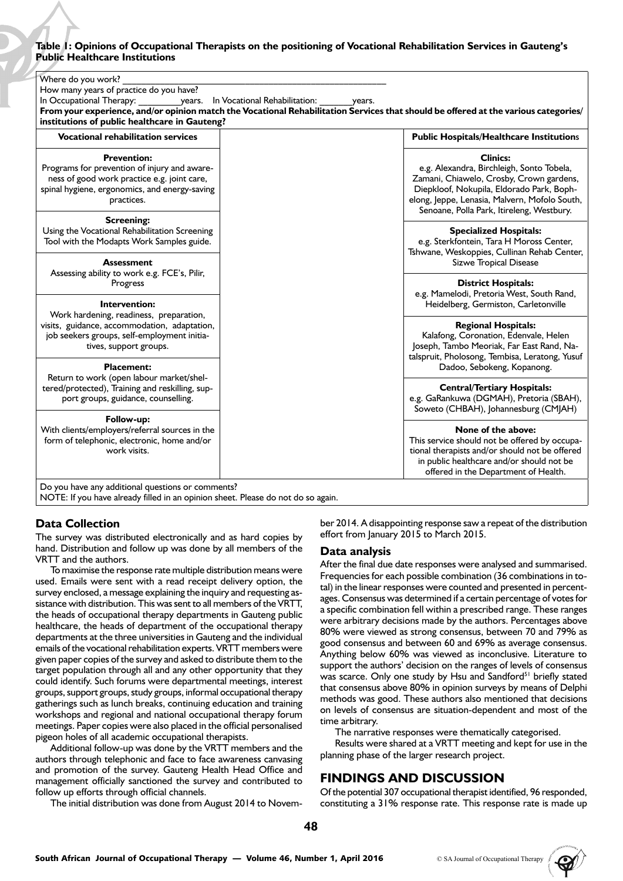## **Table 1: Opinions of Occupational Therapists on the positioning of Vocational Rehabilitation Services in Gauteng's Public Healthcare Institutions**

| Where do you work?<br>How many years of practice do you have?<br>In Occupational Therapy:<br>years. In Vocational Rehabilitation:<br>years.<br>From your experience, and/or opinion match the Vocational Rehabilitation Services that should be offered at the various categories/<br>institutions of public healthcare in Gauteng? |                                                                                                                                                                                                                                                     |
|-------------------------------------------------------------------------------------------------------------------------------------------------------------------------------------------------------------------------------------------------------------------------------------------------------------------------------------|-----------------------------------------------------------------------------------------------------------------------------------------------------------------------------------------------------------------------------------------------------|
| <b>Vocational rehabilitation services</b>                                                                                                                                                                                                                                                                                           | <b>Public Hospitals/Healthcare Institutions</b>                                                                                                                                                                                                     |
| <b>Prevention:</b><br>Programs for prevention of injury and aware-<br>ness of good work practice e.g. joint care,<br>spinal hygiene, ergonomics, and energy-saving<br>practices.                                                                                                                                                    | <b>Clinics:</b><br>e.g. Alexandra, Birchleigh, Sonto Tobela,<br>Zamani, Chiawelo, Crosby, Crown gardens,<br>Diepkloof, Nokupila, Eldorado Park, Boph-<br>elong, Jeppe, Lenasia, Malvern, Mofolo South,<br>Senoane, Polla Park, Itireleng, Westbury. |
| <b>Screening:</b>                                                                                                                                                                                                                                                                                                                   | <b>Specialized Hospitals:</b>                                                                                                                                                                                                                       |
| Using the Vocational Rehabilitation Screening                                                                                                                                                                                                                                                                                       | e.g. Sterkfontein, Tara H Moross Center,                                                                                                                                                                                                            |
| Tool with the Modapts Work Samples guide.                                                                                                                                                                                                                                                                                           | Tshwane, Weskoppies, Cullinan Rehab Center,                                                                                                                                                                                                         |
| Assessment                                                                                                                                                                                                                                                                                                                          | Sizwe Tropical Disease                                                                                                                                                                                                                              |
| Assessing ability to work e.g. FCE's, Pilir,                                                                                                                                                                                                                                                                                        | <b>District Hospitals:</b>                                                                                                                                                                                                                          |
| Progress                                                                                                                                                                                                                                                                                                                            | e.g. Mamelodi, Pretoria West, South Rand,                                                                                                                                                                                                           |
| Intervention:                                                                                                                                                                                                                                                                                                                       | Heidelberg, Germiston, Carletonville                                                                                                                                                                                                                |
| Work hardening, readiness, preparation,                                                                                                                                                                                                                                                                                             | <b>Regional Hospitals:</b>                                                                                                                                                                                                                          |
| visits, guidance, accommodation, adaptation,                                                                                                                                                                                                                                                                                        | Kalafong, Coronation, Edenvale, Helen                                                                                                                                                                                                               |
| job seekers groups, self-employment initia-                                                                                                                                                                                                                                                                                         | Joseph, Tambo Meoriak, Far East Rand, Na-                                                                                                                                                                                                           |
| tives, support groups.                                                                                                                                                                                                                                                                                                              | talspruit, Pholosong, Tembisa, Leratong, Yusuf                                                                                                                                                                                                      |
| <b>Placement:</b>                                                                                                                                                                                                                                                                                                                   | Dadoo, Sebokeng, Kopanong.                                                                                                                                                                                                                          |
| Return to work (open labour market/shel-                                                                                                                                                                                                                                                                                            | <b>Central/Tertiary Hospitals:</b>                                                                                                                                                                                                                  |
| tered/protected), Training and reskilling, sup-                                                                                                                                                                                                                                                                                     | e.g. GaRankuwa (DGMAH), Pretoria (SBAH),                                                                                                                                                                                                            |
| port groups, guidance, counselling.                                                                                                                                                                                                                                                                                                 | Soweto (CHBAH), Johannesburg (CMJAH)                                                                                                                                                                                                                |
| Follow-up:<br>With clients/employers/referral sources in the<br>form of telephonic, electronic, home and/or<br>work visits.                                                                                                                                                                                                         | None of the above:<br>This service should not be offered by occupa-<br>tional therapists and/or should not be offered<br>in public healthcare and/or should not be<br>offered in the Department of Health.                                          |

Do you have any additional questions or comments?

NOTE: If you have already filled in an opinion sheet. Please do not do so again.

## **Data Collection**

The survey was distributed electronically and as hard copies by hand. Distribution and follow up was done by all members of the VRTT and the authors.

To maximise the response rate multiple distribution means were used. Emails were sent with a read receipt delivery option, the survey enclosed, a message explaining the inquiry and requesting assistance with distribution. This was sent to all members of the VRTT, the heads of occupational therapy departments in Gauteng public healthcare, the heads of department of the occupational therapy departments at the three universities in Gauteng and the individual emails of the vocational rehabilitation experts. VRTT members were given paper copies of the survey and asked to distribute them to the target population through all and any other opportunity that they could identify. Such forums were departmental meetings, interest groups, support groups, study groups, informal occupational therapy gatherings such as lunch breaks, continuing education and training workshops and regional and national occupational therapy forum meetings. Paper copies were also placed in the official personalised pigeon holes of all academic occupational therapists.

Additional follow-up was done by the VRTT members and the authors through telephonic and face to face awareness canvasing and promotion of the survey. Gauteng Health Head Office and management officially sanctioned the survey and contributed to follow up efforts through official channels.

The initial distribution was done from August 2014 to Novem-

ber 2014. A disappointing response saw a repeat of the distribution effort from January 2015 to March 2015.

#### **Data analysis**

After the final due date responses were analysed and summarised. Frequencies for each possible combination (36 combinations in total) in the linear responses were counted and presented in percentages. Consensus was determined if a certain percentage of votes for a specific combination fell within a prescribed range. These ranges were arbitrary decisions made by the authors. Percentages above 80% were viewed as strong consensus, between 70 and 79% as good consensus and between 60 and 69% as average consensus. Anything below 60% was viewed as inconclusive. Literature to support the authors' decision on the ranges of levels of consensus was scarce. Only one study by Hsu and Sandford<sup>51</sup> briefly stated that consensus above 80% in opinion surveys by means of Delphi methods was good. These authors also mentioned that decisions on levels of consensus are situation-dependent and most of the time arbitrary.

The narrative responses were thematically categorised.

Results were shared at a VRTT meeting and kept for use in the planning phase of the larger research project.

## **FINDINGS AND DISCUSSION**

Of the potential 307 occupational therapist identified, 96 responded, constituting a 31% response rate. This response rate is made up

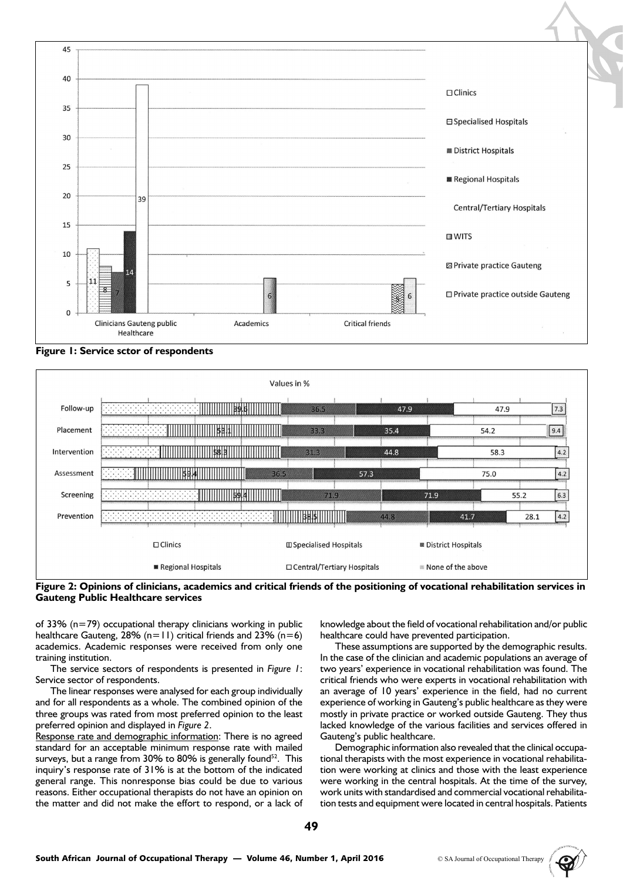

**Figure 1: Service sctor of respondents**





of 33% (n=79) occupational therapy clinicians working in public healthcare Gauteng, 28% (n=11) critical friends and 23% (n=6) academics. Academic responses were received from only one training institution.

The service sectors of respondents is presented in *Figure 1*: Service sector of respondents.

The linear responses were analysed for each group individually and for all respondents as a whole. The combined opinion of the three groups was rated from most preferred opinion to the least preferred opinion and displayed in *Figure 2*.

Response rate and demographic information: There is no agreed standard for an acceptable minimum response rate with mailed surveys, but a range from 30% to 80% is generally found<sup>52</sup>. This inquiry's response rate of 31% is at the bottom of the indicated general range. This nonresponse bias could be due to various reasons. Either occupational therapists do not have an opinion on the matter and did not make the effort to respond, or a lack of knowledge about the field of vocational rehabilitation and/or public healthcare could have prevented participation.

These assumptions are supported by the demographic results. In the case of the clinician and academic populations an average of two years' experience in vocational rehabilitation was found. The critical friends who were experts in vocational rehabilitation with an average of 10 years' experience in the field, had no current experience of working in Gauteng's public healthcare as they were mostly in private practice or worked outside Gauteng. They thus lacked knowledge of the various facilities and services offered in Gauteng's public healthcare.

Demographic information also revealed that the clinical occupational therapists with the most experience in vocational rehabilitation were working at clinics and those with the least experience were working in the central hospitals. At the time of the survey, work units with standardised and commercial vocational rehabilitation tests and equipment were located in central hospitals. Patients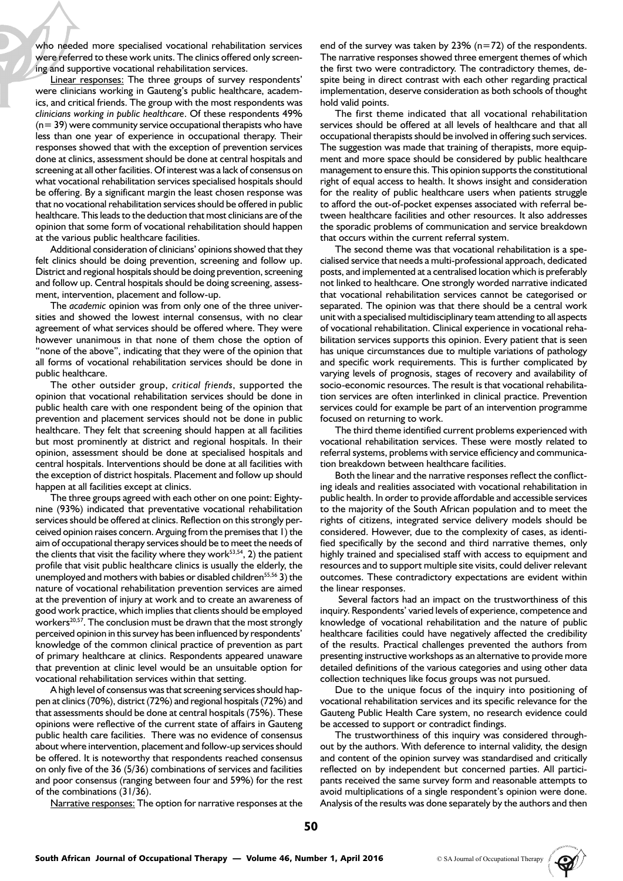who needed more specialised vocational rehabilitation services were referred to these work units. The clinics offered only screening and supportive vocational rehabilitation services.

Linear responses: The three groups of survey respondents' were clinicians working in Gauteng's public healthcare, academics, and critical friends. The group with the most respondents was *clinicians working in public healthcare*. Of these respondents 49% (n= 39) were community service occupational therapists who have less than one year of experience in occupational therapy. Their responses showed that with the exception of prevention services done at clinics, assessment should be done at central hospitals and screening at all other facilities. Of interest was a lack of consensus on what vocational rehabilitation services specialised hospitals should be offering. By a significant margin the least chosen response was that no vocational rehabilitation services should be offered in public healthcare. This leads to the deduction that most clinicians are of the opinion that some form of vocational rehabilitation should happen at the various public healthcare facilities.

Additional consideration of clinicians' opinions showed that they felt clinics should be doing prevention, screening and follow up. District and regional hospitals should be doing prevention, screening and follow up. Central hospitals should be doing screening, assessment, intervention, placement and follow-up.

The *academic* opinion was from only one of the three universities and showed the lowest internal consensus, with no clear agreement of what services should be offered where. They were however unanimous in that none of them chose the option of "none of the above", indicating that they were of the opinion that all forms of vocational rehabilitation services should be done in public healthcare.

The other outsider group, *critical friends*, supported the opinion that vocational rehabilitation services should be done in public health care with one respondent being of the opinion that prevention and placement services should not be done in public healthcare. They felt that screening should happen at all facilities but most prominently at district and regional hospitals. In their opinion, assessment should be done at specialised hospitals and central hospitals. Interventions should be done at all facilities with the exception of district hospitals. Placement and follow up should happen at all facilities except at clinics.

The three groups agreed with each other on one point: Eightynine (93%) indicated that preventative vocational rehabilitation services should be offered at clinics. Reflection on this strongly perceived opinion raises concern. Arguing from the premises that 1) the aim of occupational therapy services should be to meet the needs of the clients that visit the facility where they work $53,54$ , 2) the patient profile that visit public healthcare clinics is usually the elderly, the unemployed and mothers with babies or disabled children<sup>55,56</sup> 3) the nature of vocational rehabilitation prevention services are aimed at the prevention of injury at work and to create an awareness of good work practice, which implies that clients should be employed workers $20,57$ . The conclusion must be drawn that the most strongly perceived opinion in this survey has been influenced by respondents' knowledge of the common clinical practice of prevention as part of primary healthcare at clinics. Respondents appeared unaware that prevention at clinic level would be an unsuitable option for vocational rehabilitation services within that setting.

A high level of consensus was that screening services should happen at clinics (70%), district (72%) and regional hospitals (72%) and that assessments should be done at central hospitals (75%). These opinions were reflective of the current state of affairs in Gauteng public health care facilities. There was no evidence of consensus about where intervention, placement and follow-up services should be offered. It is noteworthy that respondents reached consensus on only five of the 36 (5/36) combinations of services and facilities and poor consensus (ranging between four and 59%) for the rest of the combinations (31/36).

Narrative responses: The option for narrative responses at the

end of the survey was taken by 23%  $(n=72)$  of the respondents. The narrative responses showed three emergent themes of which the first two were contradictory. The contradictory themes, despite being in direct contrast with each other regarding practical implementation, deserve consideration as both schools of thought hold valid points.

The first theme indicated that all vocational rehabilitation services should be offered at all levels of healthcare and that all occupational therapists should be involved in offering such services. The suggestion was made that training of therapists, more equipment and more space should be considered by public healthcare management to ensure this. This opinion supports the constitutional right of equal access to health. It shows insight and consideration for the reality of public healthcare users when patients struggle to afford the out-of-pocket expenses associated with referral between healthcare facilities and other resources. It also addresses the sporadic problems of communication and service breakdown that occurs within the current referral system.

The second theme was that vocational rehabilitation is a specialised service that needs a multi-professional approach, dedicated posts, and implemented at a centralised location which is preferably not linked to healthcare. One strongly worded narrative indicated that vocational rehabilitation services cannot be categorised or separated. The opinion was that there should be a central work unit with a specialised multidisciplinary team attending to all aspects of vocational rehabilitation. Clinical experience in vocational rehabilitation services supports this opinion. Every patient that is seen has unique circumstances due to multiple variations of pathology and specific work requirements. This is further complicated by varying levels of prognosis, stages of recovery and availability of socio-economic resources. The result is that vocational rehabilitation services are often interlinked in clinical practice. Prevention services could for example be part of an intervention programme focused on returning to work.

The third theme identified current problems experienced with vocational rehabilitation services. These were mostly related to referral systems, problems with service efficiency and communication breakdown between healthcare facilities.

Both the linear and the narrative responses reflect the conflicting ideals and realities associated with vocational rehabilitation in public health. In order to provide affordable and accessible services to the majority of the South African population and to meet the rights of citizens, integrated service delivery models should be considered. However, due to the complexity of cases, as identified specifically by the second and third narrative themes, only highly trained and specialised staff with access to equipment and resources and to support multiple site visits, could deliver relevant outcomes. These contradictory expectations are evident within the linear responses.

 Several factors had an impact on the trustworthiness of this inquiry. Respondents' varied levels of experience, competence and knowledge of vocational rehabilitation and the nature of public healthcare facilities could have negatively affected the credibility of the results. Practical challenges prevented the authors from presenting instructive workshops as an alternative to provide more detailed definitions of the various categories and using other data collection techniques like focus groups was not pursued.

Due to the unique focus of the inquiry into positioning of vocational rehabilitation services and its specific relevance for the Gauteng Public Health Care system, no research evidence could be accessed to support or contradict findings.

The trustworthiness of this inquiry was considered throughout by the authors. With deference to internal validity, the design and content of the opinion survey was standardised and critically reflected on by independent but concerned parties. All participants received the same survey form and reasonable attempts to avoid multiplications of a single respondent's opinion were done. Analysis of the results was done separately by the authors and then

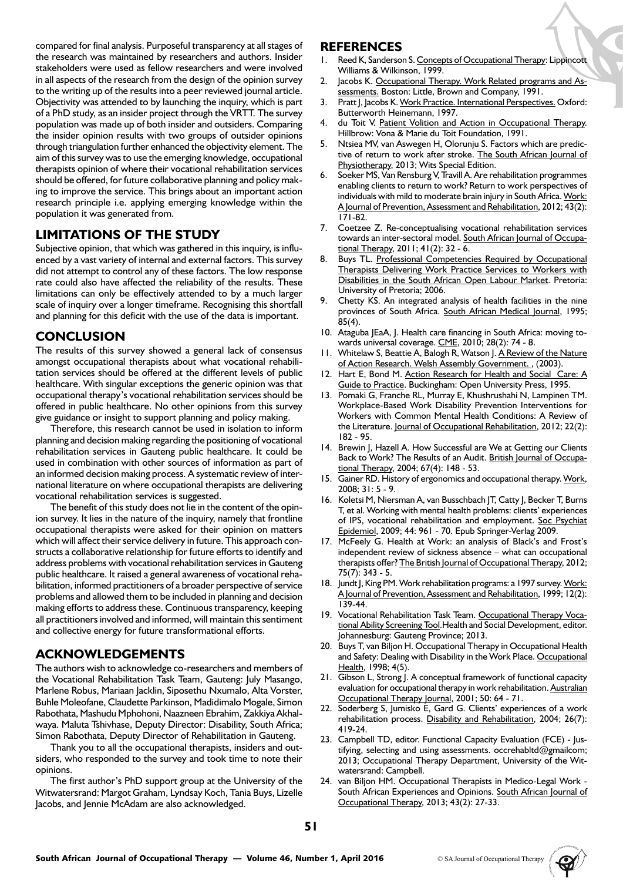compared for final analysis. Purposeful transparency at all stages of the research was maintained by researchers and authors. Insider stakeholders were used as fellow researchers and were involved in all aspects of the research from the design of the opinion survey to the writing up of the results into a peer reviewed journal article. Objectivity was attended to by launching the inquiry, which is part of a PhD study, as an insider project through the VRTT. The survey population was made up of both insider and outsiders. Comparing the insider opinion results with two groups of outsider opinions through triangulation further enhanced the objectivity element. The aim of this survey was to use the emerging knowledge, occupational therapists opinion of where their vocational rehabilitation services should be offered, for future collaborative planning and policy making to improve the service. This brings about an important action research principle i.e. applying emerging knowledge within the population it was generated from.

# **LIMITATIONS OF THE STUDY**

Subjective opinion, that which was gathered in this inquiry, is influenced by a vast variety of internal and external factors. This survey did not attempt to control any of these factors. The low response rate could also have affected the reliability of the results. These limitations can only be effectively attended to by a much larger scale of inquiry over a longer timeframe. Recognising this shortfall and planning for this deficit with the use of the data is important.

# **CONCLUSION**

The results of this survey showed a general lack of consensus amongst occupational therapists about what vocational rehabilitation services should be offered at the different levels of public healthcare. With singular exceptions the generic opinion was that occupational therapy's vocational rehabilitation services should be offered in public healthcare. No other opinions from this survey give guidance or insight to support planning and policy making.

Therefore, this research cannot be used in isolation to inform planning and decision making regarding the positioning of vocational rehabilitation services in Gauteng public healthcare. It could be used in combination with other sources of information as part of an informed decision making process. A systematic review of international literature on where occupational therapists are delivering vocational rehabilitation services is suggested.

The benefit of this study does not lie in the content of the opinion survey. It lies in the nature of the inquiry, namely that frontline occupational therapists were asked for their opinion on matters which will affect their service delivery in future. This approach constructs a collaborative relationship for future efforts to identify and address problems with vocational rehabilitation services in Gauteng public healthcare. It raised a general awareness of vocational rehabilitation, informed practitioners of a broader perspective of service problems and allowed them to be included in planning and decision making efforts to address these. Continuous transparency, keeping all practitioners involved and informed, will maintain this sentiment and collective energy for future transformational efforts.

# **ACKNOWLEDGEMENTS**

The authors wish to acknowledge co-researchers and members of the Vocational Rehabilitation Task Team, Gauteng: July Masango, Marlene Robus, Mariaan Jacklin, Siposethu Nxumalo, Alta Vorster, Buhle Moleofane, Claudette Parkinson, Madidimalo Mogale, Simon Rabothata, Mashudu Mphohoni, Naazneen Ebrahim, Zakkiya Akhalwaya. Maluta Tshivhase, Deputy Director: Disability, South Africa; Simon Rabothata, Deputy Director of Rehabilitation in Gauteng.

Thank you to all the occupational therapists, insiders and outsiders, who responded to the survey and took time to note their opinions.

The first author's PhD support group at the University of the Witwatersrand: Margot Graham, Lyndsay Koch, Tania Buys, Lizelle Jacobs, and Jennie McAdam are also acknowledged.

## **REFERENCES**

- 1. Reed K, Sanderson S. Concepts of Occupational Therapy: Lippincott Williams & Wilkinson, 1999.
- 2. Jacobs K. Occupational Therapy. Work Related programs and Assessments. Boston: Little, Brown and Company, 1991.
- 3. Pratt J, Jacobs K. Work Practice. International Perspectives. Oxford: Butterworth Heinemann, 1997.
- du Toit V. Patient Volition and Action in Occupational Therapy. Hillbrow: Vona & Marie du Toit Foundation, 1991.
- 5. Ntsiea MV, van Aswegen H, Olorunju S. Factors which are predictive of return to work after stroke. The South African Journal of Physiotherapy, 2013; Wits Special Edition.
- Soeker MS, Van Rensburg V, Travill A. Are rehabilitation programmes enabling clients to return to work? Return to work perspectives of individuals with mild to moderate brain injury in South Africa. Work: A Journal of Prevention, Assessment and Rehabilitation, 2012; 43(2): 171-82.
- 7. Coetzee Z. Re-conceptualising vocational rehabilitation services towards an inter-sectoral model. South African Journal of Occupational Therapy, 2011; 41(2): 32 - 6.
- 8. Buys TL. Professional Competencies Required by Occupational Therapists Delivering Work Practice Services to Workers with Disabilities in the South African Open Labour Market. Pretoria: University of Pretoria; 2006.
- 9. Chetty KS. An integrated analysis of health facilities in the nine provinces of South Africa. South African Medical Journal, 1995; 85(4).
- 10. Ataguba JEaA, J. Health care financing in South Africa: moving towards universal coverage. CME, 2010; 28(2): 74 - 8.
- 11. Whitelaw S, Beattie A, Balogh R, Watson J. A Review of the Nature of Action Research. Welsh Assembly Government., (2003).
- 12. Hart E, Bond M. Action Research for Health and Social Care: A Guide to Practice. Buckingham: Open University Press, 1995.
- 13. Pomaki G, Franche RL, Murray E, Khushrushahi N, Lampinen TM. Workplace-Based Work Disability Prevention Interventions for Workers with Common Mental Health Conditions: A Review of the Literature. Journal of Occupational Rehabilitation, 2012; 22(2): 182 - 95.
- 14. Brewin J, Hazell A. How Successful are We at Getting our Clients Back to Work? The Results of an Audit. British Journal of Occupational Therapy, 2004; 67(4): 148 - 53.
- 15. Gainer RD. History of ergonomics and occupational therapy. Work, 2008; 31: 5 - 9.
- 16. Koletsi M, Niersman A, van Busschbach JT, Catty J, Becker T, Burns T, et al. Working with mental health problems: clients' experiences of IPS, vocational rehabilitation and employment. Soc Psychiat Epidemiol, 2009; 44: 961 - 70. Epub Springer-Verlag 2009.
- 17. McFeely G. Health at Work: an analysis of Black's and Frost's independent review of sickness absence – what can occupational therapists offer? The British Journal of Occupational Therapy, 2012; 75(7): 343 - 5.
- 18. Jundt J, King PM. Work rehabilitation programs: a 1997 survey. Work: A Journal of Prevention, Assessment and Rehabilitation, 1999; 12(2): 139-44.
- 19. Vocational Rehabilitation Task Team. Occupational Therapy Vocational Ability Screening Tool.Health and Social Development, editor. Johannesburg: Gauteng Province; 2013.
- 20. Buys T, van Biljon H. Occupational Therapy in Occupational Health and Safety: Dealing with Disability in the Work Place. Occupational Health, 1998; 4(5).
- 21. Gibson L, Strong J. A conceptual framework of functional capacity evaluation for occupational therapy in work rehabilitation. Australian Occupational Therapy Journal, 2001; 50: 64 - 71.
- 22. Soderberg S, Jumisko E, Gard G. Clients' experiences of a work rehabilitation process. Disability and Rehabilitation, 2004; 26(7): 419-24.
- 23. Campbell TD, editor. Functional Capacity Evaluation (FCE) Justifying, selecting and using assessments. occrehabltd@gmailcom; 2013; Occupational Therapy Department, University of the Witwatersrand: Campbell.
- 24. van Biljon HM. Occupational Therapists in Medico-Legal Work South African Experiences and Opinions. South African Journal of Occupational Therapy, 2013; 43(2): 27-33.